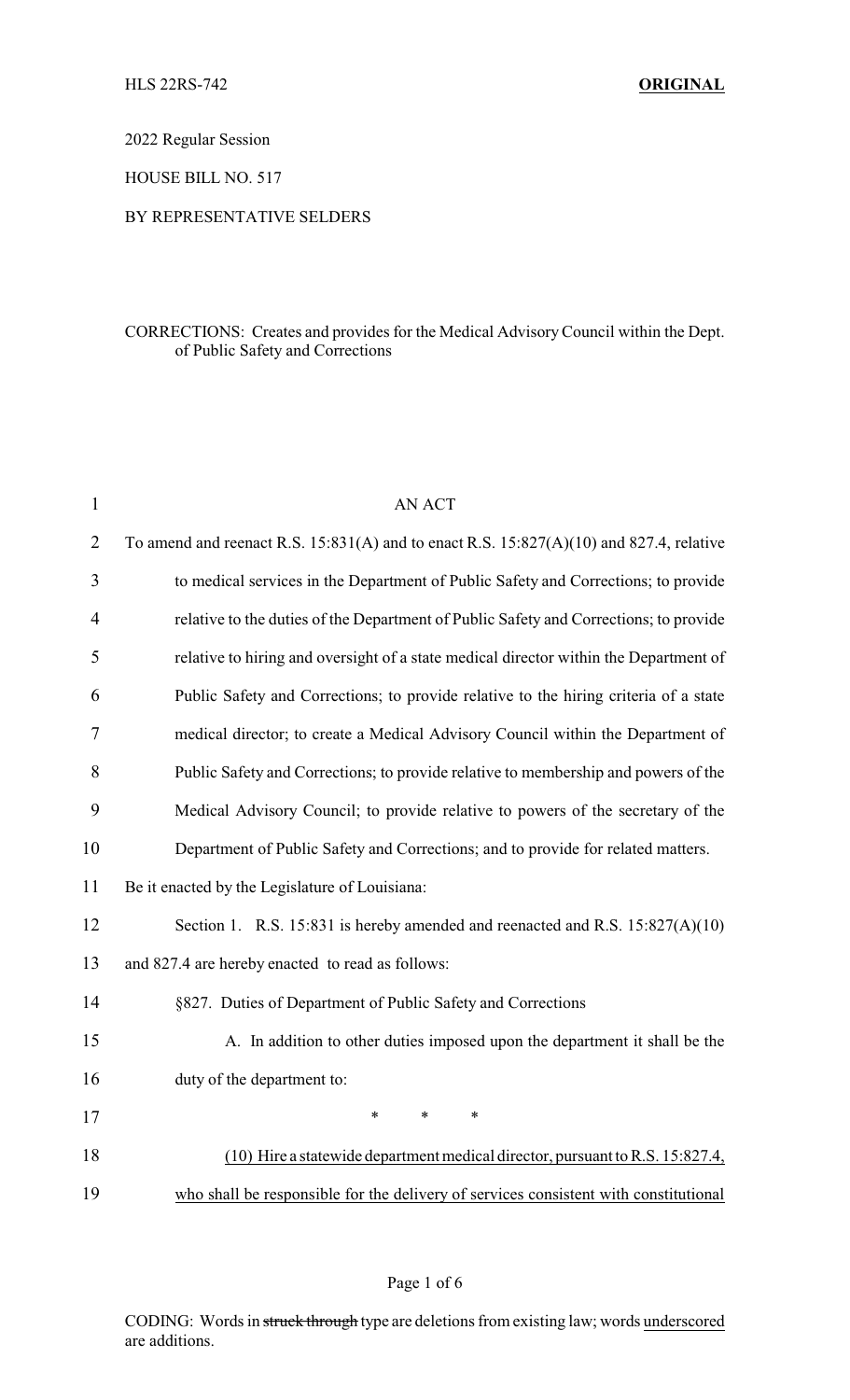2022 Regular Session

HOUSE BILL NO. 517

## BY REPRESENTATIVE SELDERS

# CORRECTIONS: Creates and provides for the Medical AdvisoryCouncil within the Dept. of Public Safety and Corrections

| $\mathbf{1}$   | <b>AN ACT</b>                                                                               |
|----------------|---------------------------------------------------------------------------------------------|
| $\overline{2}$ | To amend and reenact R.S. $15:831(A)$ and to enact R.S. $15:827(A)(10)$ and 827.4, relative |
| 3              | to medical services in the Department of Public Safety and Corrections; to provide          |
| 4              | relative to the duties of the Department of Public Safety and Corrections; to provide       |
| 5              | relative to hiring and oversight of a state medical director within the Department of       |
| 6              | Public Safety and Corrections; to provide relative to the hiring criteria of a state        |
| 7              | medical director; to create a Medical Advisory Council within the Department of             |
| 8              | Public Safety and Corrections; to provide relative to membership and powers of the          |
| 9              | Medical Advisory Council; to provide relative to powers of the secretary of the             |
| 10             | Department of Public Safety and Corrections; and to provide for related matters.            |
| 11             | Be it enacted by the Legislature of Louisiana:                                              |
| 12             | Section 1. R.S. 15:831 is hereby amended and reenacted and R.S. 15:827(A)(10)               |
| 13             | and 827.4 are hereby enacted to read as follows:                                            |
| 14             | §827. Duties of Department of Public Safety and Corrections                                 |
| 15             | A. In addition to other duties imposed upon the department it shall be the                  |
| 16             | duty of the department to:                                                                  |
| 17             | $\ast$<br>$\ast$<br>*                                                                       |
| 18             | (10) Hire a statewide department medical director, pursuant to R.S. 15:827.4,               |
| 19             | who shall be responsible for the delivery of services consistent with constitutional        |

## Page 1 of 6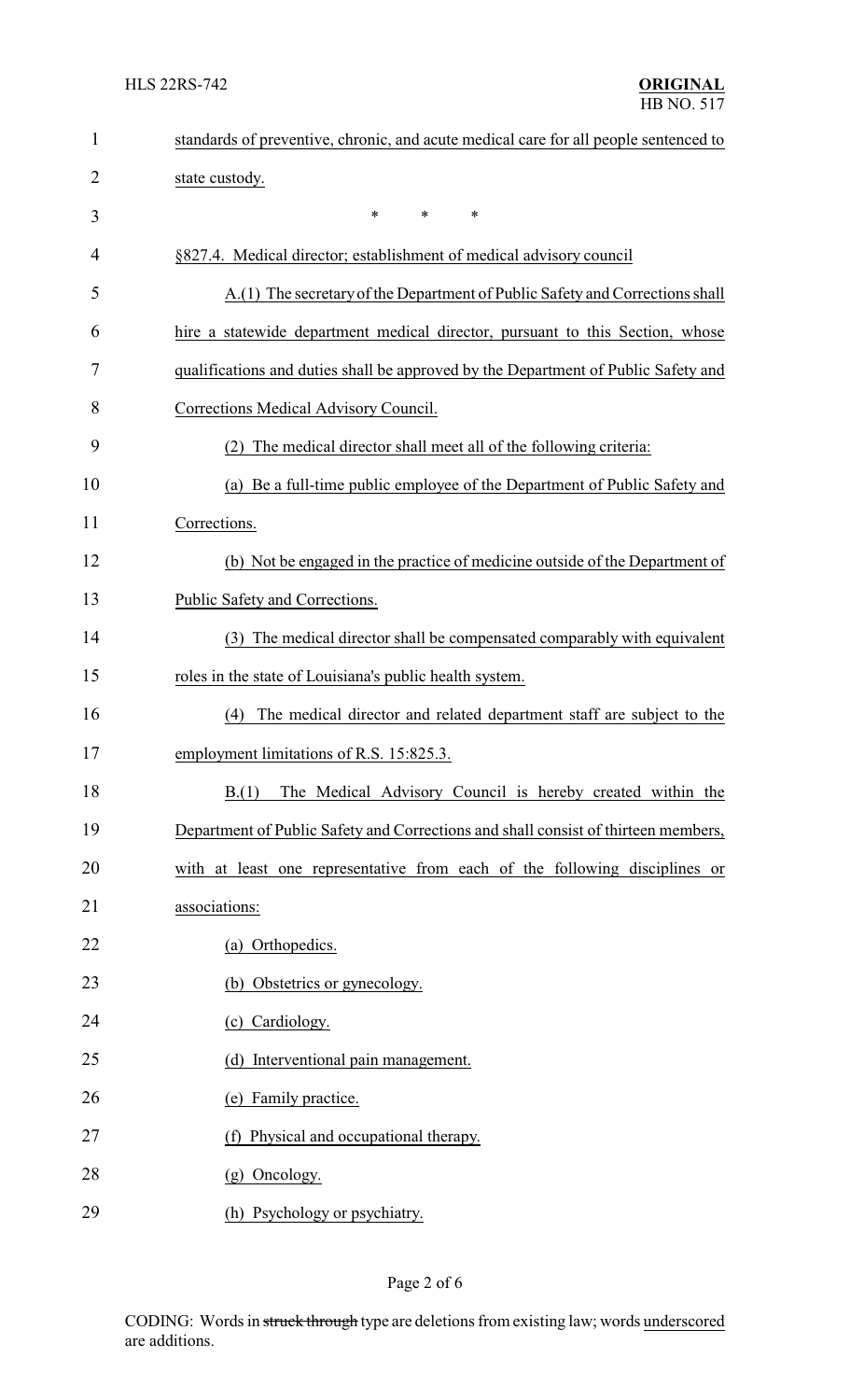| $\mathbf{1}$   | standards of preventive, chronic, and acute medical care for all people sentenced to |  |  |
|----------------|--------------------------------------------------------------------------------------|--|--|
| $\overline{2}$ | state custody.                                                                       |  |  |
| 3              | *<br>*<br>*                                                                          |  |  |
| 4              | §827.4. Medical director; establishment of medical advisory council                  |  |  |
| 5              | A.(1) The secretary of the Department of Public Safety and Corrections shall         |  |  |
| 6              | hire a statewide department medical director, pursuant to this Section, whose        |  |  |
| 7              | qualifications and duties shall be approved by the Department of Public Safety and   |  |  |
| 8              | Corrections Medical Advisory Council.                                                |  |  |
| 9              | The medical director shall meet all of the following criteria:<br>(2)                |  |  |
| 10             | (a) Be a full-time public employee of the Department of Public Safety and            |  |  |
| 11             | Corrections.                                                                         |  |  |
| 12             | (b) Not be engaged in the practice of medicine outside of the Department of          |  |  |
| 13             | Public Safety and Corrections.                                                       |  |  |
| 14             | (3) The medical director shall be compensated comparably with equivalent             |  |  |
| 15             | roles in the state of Louisiana's public health system.                              |  |  |
| 16             | The medical director and related department staff are subject to the<br>(4)          |  |  |
| 17             | employment limitations of R.S. 15:825.3.                                             |  |  |
| 18             | The Medical Advisory Council is hereby created within the<br>B(1)                    |  |  |
| 19             | Department of Public Safety and Corrections and shall consist of thirteen members,   |  |  |
| 20             | with at least one representative from each of the following disciplines or           |  |  |
| 21             | associations:                                                                        |  |  |
| 22             | (a) Orthopedics.                                                                     |  |  |
| 23             | (b) Obstetrics or gynecology.                                                        |  |  |
| 24             | (c) Cardiology.                                                                      |  |  |
| 25             | (d) Interventional pain management.                                                  |  |  |
| 26             | (e) Family practice.                                                                 |  |  |
| 27             | (f) Physical and occupational therapy.                                               |  |  |
| 28             | (g) Oncology.                                                                        |  |  |
| 29             | (h) Psychology or psychiatry.                                                        |  |  |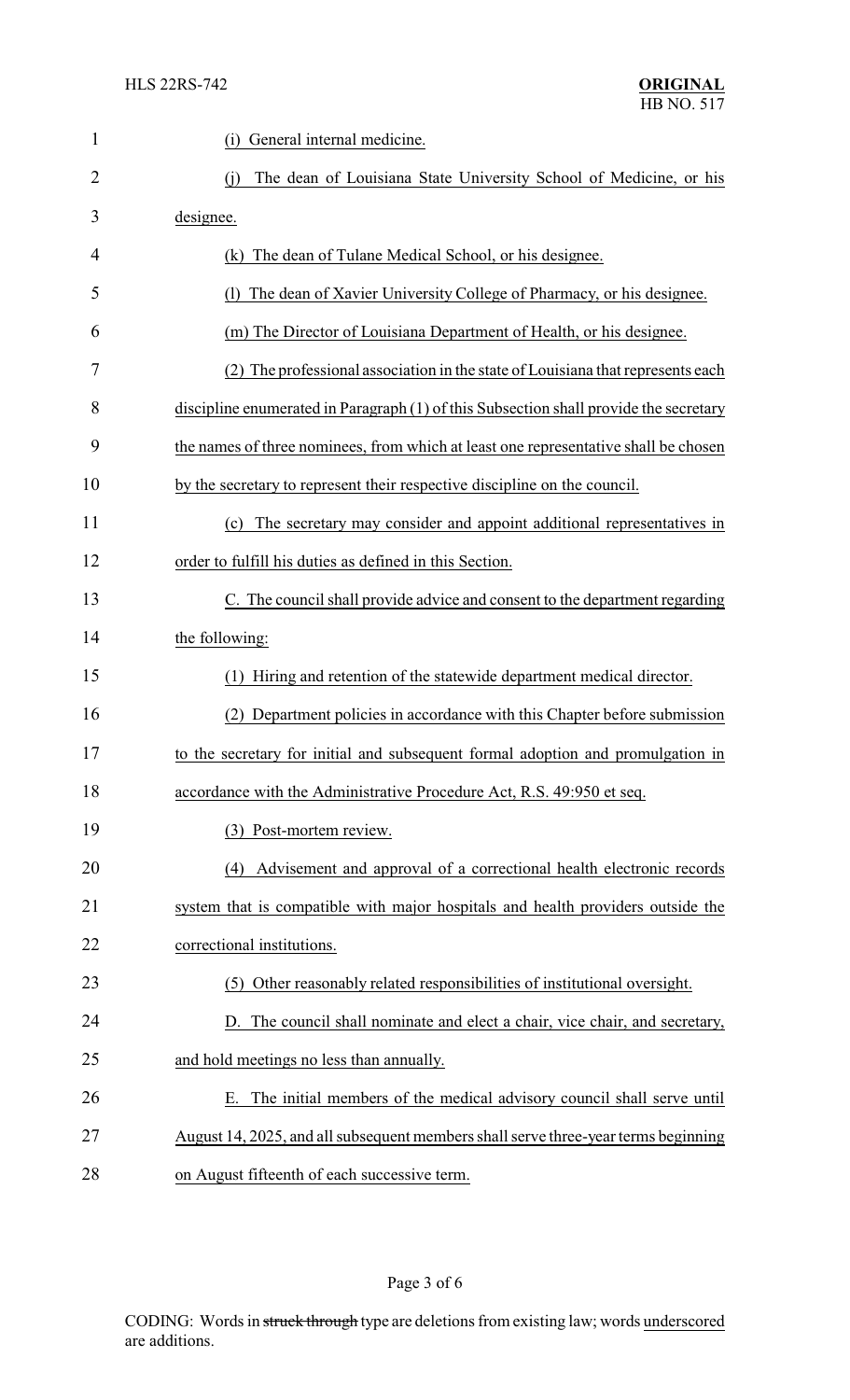| $\mathbf{1}$ | General internal medicine.<br>(i)                                                     |  |  |
|--------------|---------------------------------------------------------------------------------------|--|--|
| 2            | The dean of Louisiana State University School of Medicine, or his<br>(i)              |  |  |
| 3            | designee.                                                                             |  |  |
| 4            | (k) The dean of Tulane Medical School, or his designee.                               |  |  |
| 5            | The dean of Xavier University College of Pharmacy, or his designee.<br>(1)            |  |  |
| 6            | (m) The Director of Louisiana Department of Health, or his designee.                  |  |  |
| 7            | The professional association in the state of Louisiana that represents each           |  |  |
| 8            | discipline enumerated in Paragraph (1) of this Subsection shall provide the secretary |  |  |
| 9            | the names of three nominees, from which at least one representative shall be chosen   |  |  |
| 10           | by the secretary to represent their respective discipline on the council.             |  |  |
| 11           | The secretary may consider and appoint additional representatives in<br>(c)           |  |  |
| 12           | order to fulfill his duties as defined in this Section.                               |  |  |
| 13           | C. The council shall provide advice and consent to the department regarding           |  |  |
| 14           | the following:                                                                        |  |  |
| 15           | Hiring and retention of the statewide department medical director.<br>(1)             |  |  |
| 16           | Department policies in accordance with this Chapter before submission                 |  |  |
| 17           | to the secretary for initial and subsequent formal adoption and promulgation in       |  |  |
| 18           | accordance with the Administrative Procedure Act, R.S. 49:950 et seq.                 |  |  |
| 19           | (3) Post-mortem review.                                                               |  |  |
| 20           | Advisement and approval of a correctional health electronic records<br>(4)            |  |  |
| 21           | system that is compatible with major hospitals and health providers outside the       |  |  |
| 22           | correctional institutions.                                                            |  |  |
| 23           | (5) Other reasonably related responsibilities of institutional oversight.             |  |  |
| 24           | D. The council shall nominate and elect a chair, vice chair, and secretary,           |  |  |
| 25           | and hold meetings no less than annually.                                              |  |  |
| 26           | The initial members of the medical advisory council shall serve until<br>Е.           |  |  |
| 27           | August 14, 2025, and all subsequent members shall serve three-year terms beginning    |  |  |
| 28           | on August fifteenth of each successive term.                                          |  |  |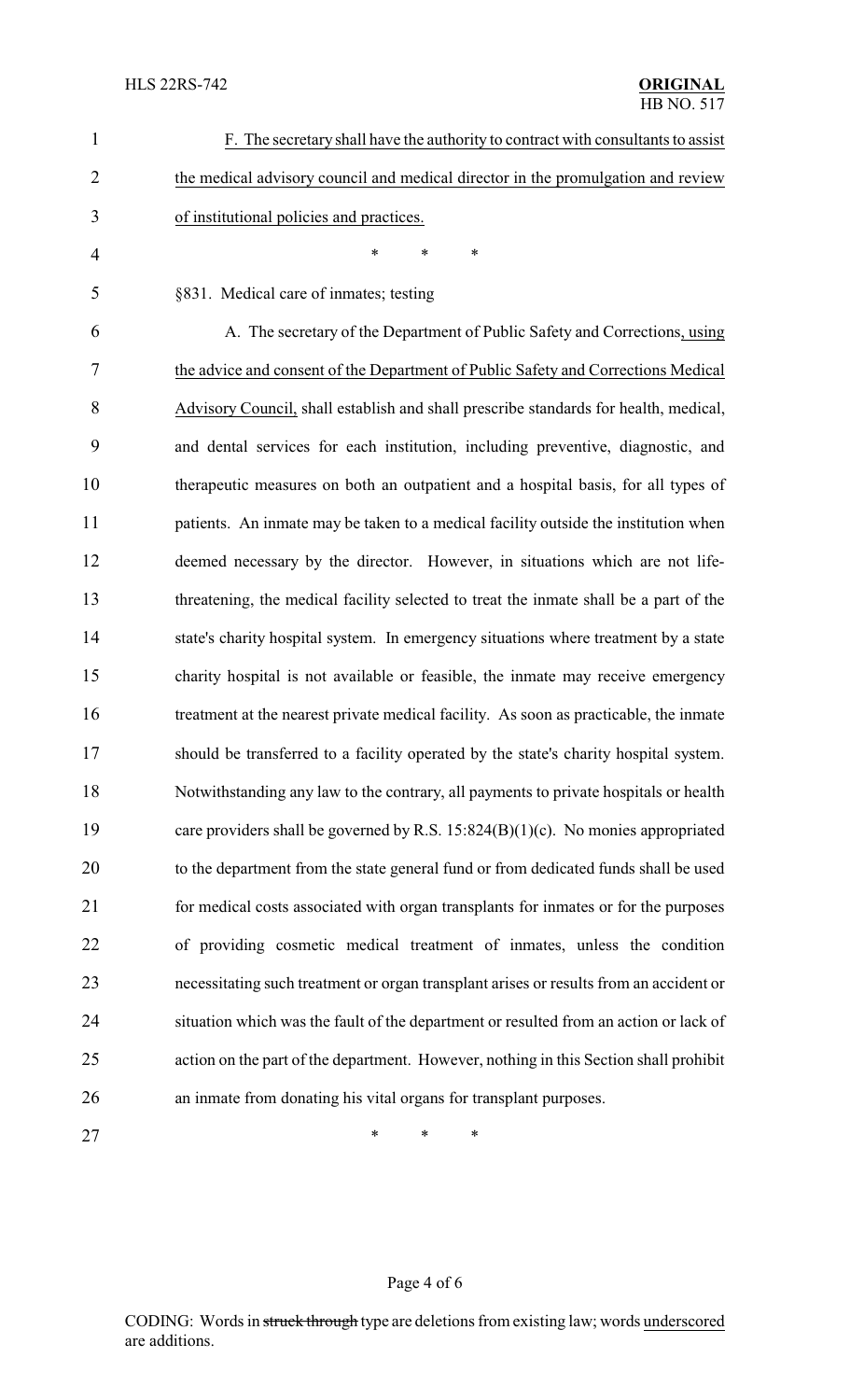| $\mathbf{1}$   | F. The secretary shall have the authority to contract with consultants to assist       |  |
|----------------|----------------------------------------------------------------------------------------|--|
| $\overline{2}$ | the medical advisory council and medical director in the promulgation and review       |  |
| 3              | of institutional policies and practices.                                               |  |
| 4              | $\ast$<br>$\ast$<br>*                                                                  |  |
| 5              | §831. Medical care of inmates; testing                                                 |  |
| 6              | A. The secretary of the Department of Public Safety and Corrections, using             |  |
| 7              | the advice and consent of the Department of Public Safety and Corrections Medical      |  |
| 8              | Advisory Council, shall establish and shall prescribe standards for health, medical,   |  |
| 9              | and dental services for each institution, including preventive, diagnostic, and        |  |
| 10             | therapeutic measures on both an outpatient and a hospital basis, for all types of      |  |
| 11             | patients. An inmate may be taken to a medical facility outside the institution when    |  |
| 12             | deemed necessary by the director. However, in situations which are not life-           |  |
| 13             | threatening, the medical facility selected to treat the inmate shall be a part of the  |  |
| 14             | state's charity hospital system. In emergency situations where treatment by a state    |  |
| 15             | charity hospital is not available or feasible, the inmate may receive emergency        |  |
| 16             | treatment at the nearest private medical facility. As soon as practicable, the inmate  |  |
| 17             | should be transferred to a facility operated by the state's charity hospital system.   |  |
| 18             | Notwithstanding any law to the contrary, all payments to private hospitals or health   |  |
| 19             | care providers shall be governed by R.S. $15:824(B)(1)(c)$ . No monies appropriated    |  |
| 20             | to the department from the state general fund or from dedicated funds shall be used    |  |
| 21             | for medical costs associated with organ transplants for inmates or for the purposes    |  |
| 22             | of providing cosmetic medical treatment of inmates, unless the condition               |  |
| 23             | necessitating such treatment or organ transplant arises or results from an accident or |  |
| 24             | situation which was the fault of the department or resulted from an action or lack of  |  |
| 25             | action on the part of the department. However, nothing in this Section shall prohibit  |  |
| 26             | an inmate from donating his vital organs for transplant purposes.                      |  |
| 27             | ∗<br>∗<br>*                                                                            |  |

# Page 4 of 6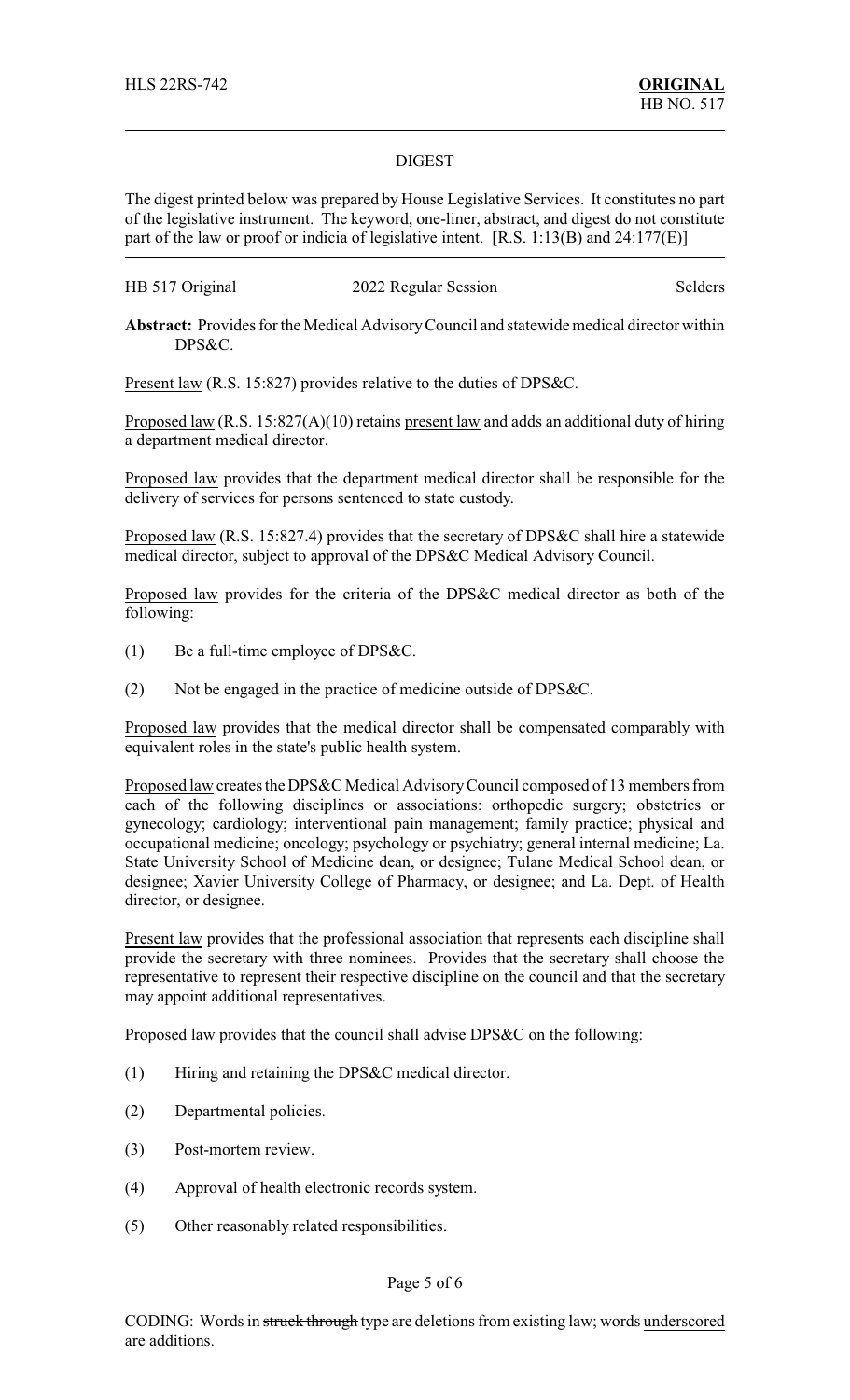#### DIGEST

The digest printed below was prepared by House Legislative Services. It constitutes no part of the legislative instrument. The keyword, one-liner, abstract, and digest do not constitute part of the law or proof or indicia of legislative intent. [R.S. 1:13(B) and 24:177(E)]

| HB 517 Original | 2022 Regular Session | Selders |
|-----------------|----------------------|---------|
|-----------------|----------------------|---------|

**Abstract:** Provides for the Medical AdvisoryCouncil and statewide medical director within DPS&C.

Present law (R.S. 15:827) provides relative to the duties of DPS&C.

Proposed law (R.S. 15:827(A)(10) retains present law and adds an additional duty of hiring a department medical director.

Proposed law provides that the department medical director shall be responsible for the delivery of services for persons sentenced to state custody.

Proposed law (R.S. 15:827.4) provides that the secretary of DPS&C shall hire a statewide medical director, subject to approval of the DPS&C Medical Advisory Council.

Proposed law provides for the criteria of the DPS&C medical director as both of the following:

- (1) Be a full-time employee of DPS&C.
- (2) Not be engaged in the practice of medicine outside of DPS&C.

Proposed law provides that the medical director shall be compensated comparably with equivalent roles in the state's public health system.

Proposed law creates the DPS&C Medical AdvisoryCouncil composed of 13 members from each of the following disciplines or associations: orthopedic surgery; obstetrics or gynecology; cardiology; interventional pain management; family practice; physical and occupational medicine; oncology; psychology or psychiatry; general internal medicine; La. State University School of Medicine dean, or designee; Tulane Medical School dean, or designee; Xavier University College of Pharmacy, or designee; and La. Dept. of Health director, or designee.

Present law provides that the professional association that represents each discipline shall provide the secretary with three nominees. Provides that the secretary shall choose the representative to represent their respective discipline on the council and that the secretary may appoint additional representatives.

Proposed law provides that the council shall advise DPS&C on the following:

- (1) Hiring and retaining the DPS&C medical director.
- (2) Departmental policies.
- (3) Post-mortem review.
- (4) Approval of health electronic records system.
- (5) Other reasonably related responsibilities.

### Page 5 of 6